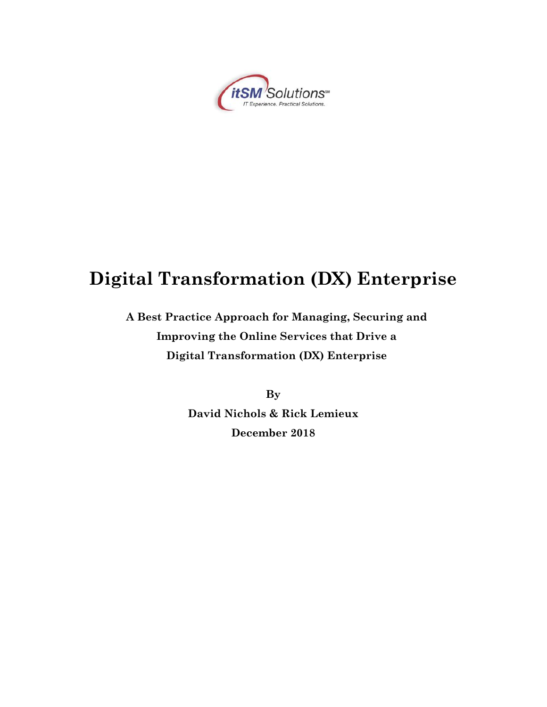

# **Digital Transformation (DX) Enterprise**

## **A Best Practice Approach for Managing, Securing and Improving the Online Services that Drive a Digital Transformation (DX) Enterprise**

**By David Nichols & Rick Lemieux December 2018**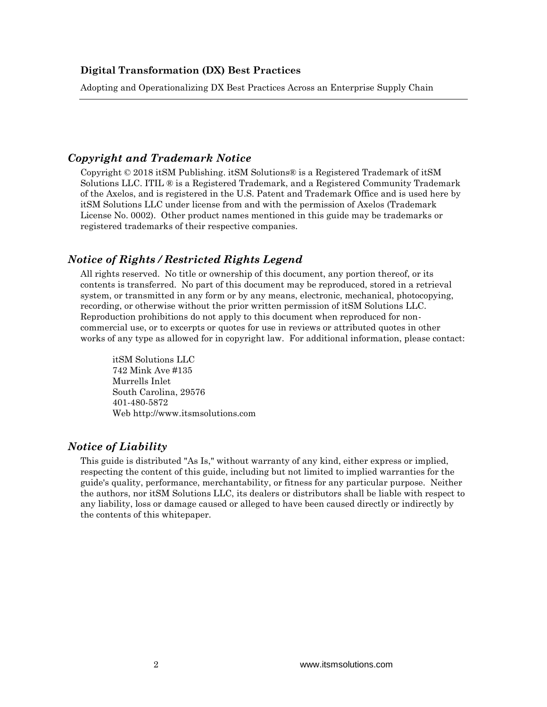#### *Copyright and Trademark Notice*

Copyright © 2018 itSM Publishing. itSM Solutions® is a Registered Trademark of itSM Solutions LLC. ITIL ® is a Registered Trademark, and a Registered Community Trademark of the Axelos, and is registered in the U.S. Patent and Trademark Office and is used here by itSM Solutions LLC under license from and with the permission of Axelos (Trademark License No. 0002). Other product names mentioned in this guide may be trademarks or registered trademarks of their respective companies.

#### *Notice of Rights / Restricted Rights Legend*

All rights reserved. No title or ownership of this document, any portion thereof, or its contents is transferred. No part of this document may be reproduced, stored in a retrieval system, or transmitted in any form or by any means, electronic, mechanical, photocopying, recording, or otherwise without the prior written permission of itSM Solutions LLC. Reproduction prohibitions do not apply to this document when reproduced for noncommercial use, or to excerpts or quotes for use in reviews or attributed quotes in other works of any type as allowed for in copyright law. For additional information, please contact:

itSM Solutions LLC 742 Mink Ave #135 Murrells Inlet South Carolina, 29576 401-480-5872 Web http://www.itsmsolutions.com

#### *Notice of Liability*

This guide is distributed "As Is," without warranty of any kind, either express or implied, respecting the content of this guide, including but not limited to implied warranties for the guide's quality, performance, merchantability, or fitness for any particular purpose. Neither the authors, nor itSM Solutions LLC, its dealers or distributors shall be liable with respect to any liability, loss or damage caused or alleged to have been caused directly or indirectly by the contents of this whitepaper.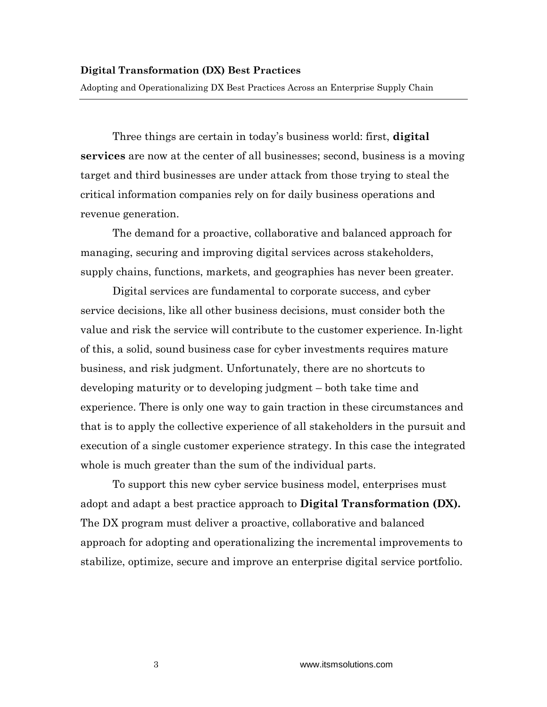Adopting and Operationalizing DX Best Practices Across an Enterprise Supply Chain

Three things are certain in today's business world: first, **digital services** are now at the center of all businesses; second, business is a moving target and third businesses are under attack from those trying to steal the critical information companies rely on for daily business operations and revenue generation.

The demand for a proactive, collaborative and balanced approach for managing, securing and improving digital services across stakeholders, supply chains, functions, markets, and geographies has never been greater.

Digital services are fundamental to corporate success, and cyber service decisions, like all other business decisions, must consider both the value and risk the service will contribute to the customer experience. In-light of this, a solid, sound business case for cyber investments requires mature business, and risk judgment. Unfortunately, there are no shortcuts to developing maturity or to developing judgment – both take time and experience. There is only one way to gain traction in these circumstances and that is to apply the collective experience of all stakeholders in the pursuit and execution of a single customer experience strategy. In this case the integrated whole is much greater than the sum of the individual parts.

To support this new cyber service business model, enterprises must adopt and adapt a best practice approach to **Digital Transformation (DX).**  The DX program must deliver a proactive, collaborative and balanced approach for adopting and operationalizing the incremental improvements to stabilize, optimize, secure and improve an enterprise digital service portfolio.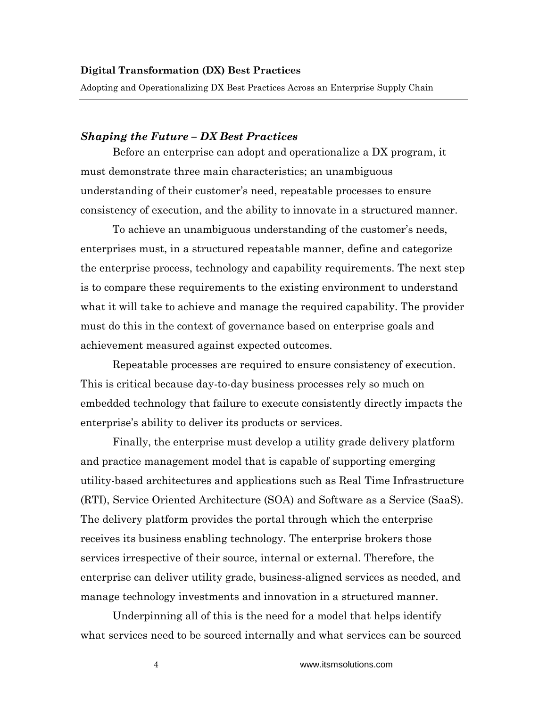#### *Shaping the Future – DX Best Practices*

Before an enterprise can adopt and operationalize a DX program, it must demonstrate three main characteristics; an unambiguous understanding of their customer's need, repeatable processes to ensure consistency of execution, and the ability to innovate in a structured manner.

To achieve an unambiguous understanding of the customer's needs, enterprises must, in a structured repeatable manner, define and categorize the enterprise process, technology and capability requirements. The next step is to compare these requirements to the existing environment to understand what it will take to achieve and manage the required capability. The provider must do this in the context of governance based on enterprise goals and achievement measured against expected outcomes.

Repeatable processes are required to ensure consistency of execution. This is critical because day-to-day business processes rely so much on embedded technology that failure to execute consistently directly impacts the enterprise's ability to deliver its products or services.

Finally, the enterprise must develop a utility grade delivery platform and practice management model that is capable of supporting emerging utility-based architectures and applications such as Real Time Infrastructure (RTI), Service Oriented Architecture (SOA) and Software as a Service (SaaS). The delivery platform provides the portal through which the enterprise receives its business enabling technology. The enterprise brokers those services irrespective of their source, internal or external. Therefore, the enterprise can deliver utility grade, business-aligned services as needed, and manage technology investments and innovation in a structured manner.

Underpinning all of this is the need for a model that helps identify what services need to be sourced internally and what services can be sourced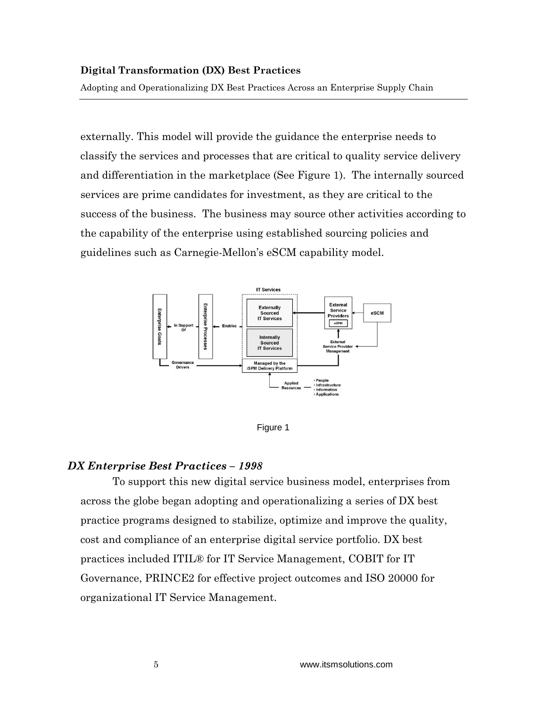Adopting and Operationalizing DX Best Practices Across an Enterprise Supply Chain

externally. This model will provide the guidance the enterprise needs to classify the services and processes that are critical to quality service delivery and differentiation in the marketplace (See Figure 1). The internally sourced services are prime candidates for investment, as they are critical to the success of the business. The business may source other activities according to the capability of the enterprise using established sourcing policies and guidelines such as Carnegie-Mellon's eSCM capability model.





#### *DX Enterprise Best Practices – 1998*

To support this new digital service business model, enterprises from across the globe began adopting and operationalizing a series of DX best practice programs designed to stabilize, optimize and improve the quality, cost and compliance of an enterprise digital service portfolio. DX best practices included ITIL® for IT Service Management, COBIT for IT Governance, PRINCE2 for effective project outcomes and ISO 20000 for organizational IT Service Management.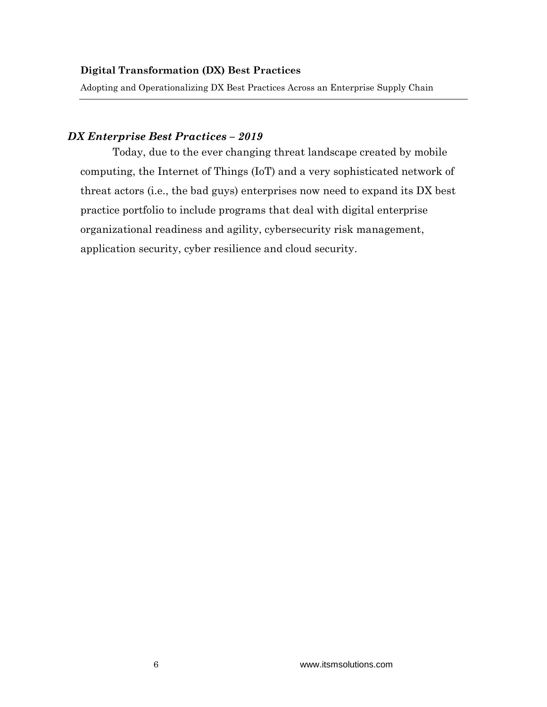Adopting and Operationalizing DX Best Practices Across an Enterprise Supply Chain

#### *DX Enterprise Best Practices – 2019*

Today, due to the ever changing threat landscape created by mobile computing, the Internet of Things (IoT) and a very sophisticated network of threat actors (i.e., the bad guys) enterprises now need to expand its DX best practice portfolio to include programs that deal with digital enterprise organizational readiness and agility, cybersecurity risk management, application security, cyber resilience and cloud security.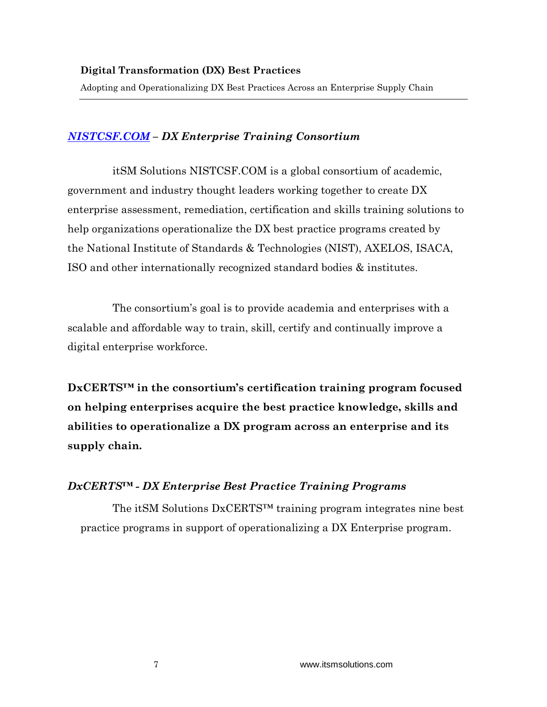## *[NISTCSF.COM](https://nistcsf.com/) – DX Enterprise Training Consortium*

itSM Solutions NISTCSF.COM is a global consortium of academic, government and industry thought leaders working together to create DX enterprise assessment, remediation, certification and skills training solutions to help organizations operationalize the DX best practice programs created by the National Institute of Standards & Technologies (NIST), AXELOS, ISACA, ISO and other internationally recognized standard bodies & institutes.

The consortium's goal is to provide academia and enterprises with a scalable and affordable way to train, skill, certify and continually improve a digital enterprise workforce.

**DxCERTS™ in the consortium's certification training program focused on helping enterprises acquire the best practice knowledge, skills and abilities to operationalize a DX program across an enterprise and its supply chain.**

## *DxCERTS™ - DX Enterprise Best Practice Training Programs*

The itSM Solutions DxCERTS™ training program integrates nine best practice programs in support of operationalizing a DX Enterprise program.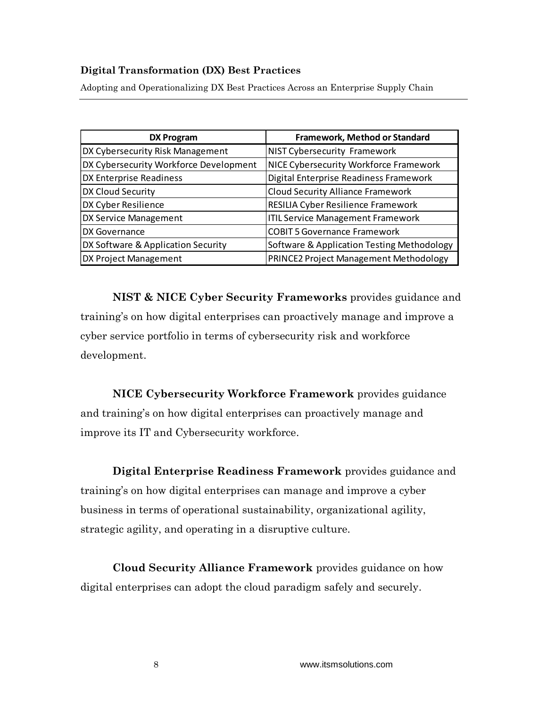Adopting and Operationalizing DX Best Practices Across an Enterprise Supply Chain

| <b>DX Program</b>                      | <b>Framework, Method or Standard</b>       |
|----------------------------------------|--------------------------------------------|
| DX Cybersecurity Risk Management       | <b>NIST Cybersecurity Framework</b>        |
| DX Cybersecurity Workforce Development | NICE Cybersecurity Workforce Framework     |
| DX Enterprise Readiness                | Digital Enterprise Readiness Framework     |
| DX Cloud Security                      | <b>Cloud Security Alliance Framework</b>   |
| DX Cyber Resilience                    | RESILIA Cyber Resilience Framework         |
| DX Service Management                  | <b>ITIL Service Management Framework</b>   |
| DX Governance                          | <b>COBIT 5 Governance Framework</b>        |
| DX Software & Application Security     | Software & Application Testing Methodology |
| DX Project Management                  | PRINCE2 Project Management Methodology     |

**NIST & NICE Cyber Security Frameworks** provides guidance and training's on how digital enterprises can proactively manage and improve a cyber service portfolio in terms of cybersecurity risk and workforce development.

**NICE Cybersecurity Workforce Framework** provides guidance and training's on how digital enterprises can proactively manage and improve its IT and Cybersecurity workforce.

**Digital Enterprise Readiness Framework** provides guidance and training's on how digital enterprises can manage and improve a cyber business in terms of operational sustainability, organizational agility, strategic agility, and operating in a disruptive culture.

**Cloud Security Alliance Framework** provides guidance on how digital enterprises can adopt the cloud paradigm safely and securely.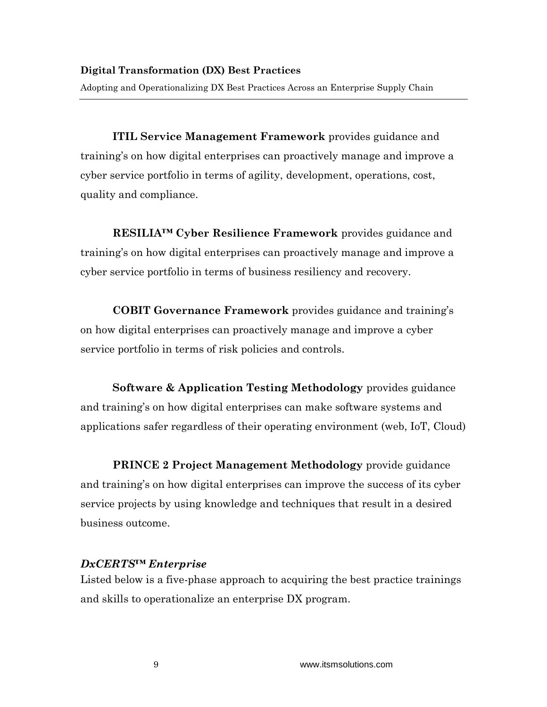**ITIL Service Management Framework** provides guidance and training's on how digital enterprises can proactively manage and improve a cyber service portfolio in terms of agility, development, operations, cost, quality and compliance.

**RESILIA™ Cyber Resilience Framework** provides guidance and training's on how digital enterprises can proactively manage and improve a cyber service portfolio in terms of business resiliency and recovery.

**COBIT Governance Framework** provides guidance and training's on how digital enterprises can proactively manage and improve a cyber service portfolio in terms of risk policies and controls.

**Software & Application Testing Methodology** provides guidance and training's on how digital enterprises can make software systems and applications safer regardless of their operating environment (web, IoT, Cloud)

**PRINCE 2 Project Management Methodology** provide guidance and training's on how digital enterprises can improve the success of its cyber service projects by using knowledge and techniques that result in a desired business outcome.

## *DxCERTS™ Enterprise*

Listed below is a five-phase approach to acquiring the best practice trainings and skills to operationalize an enterprise DX program.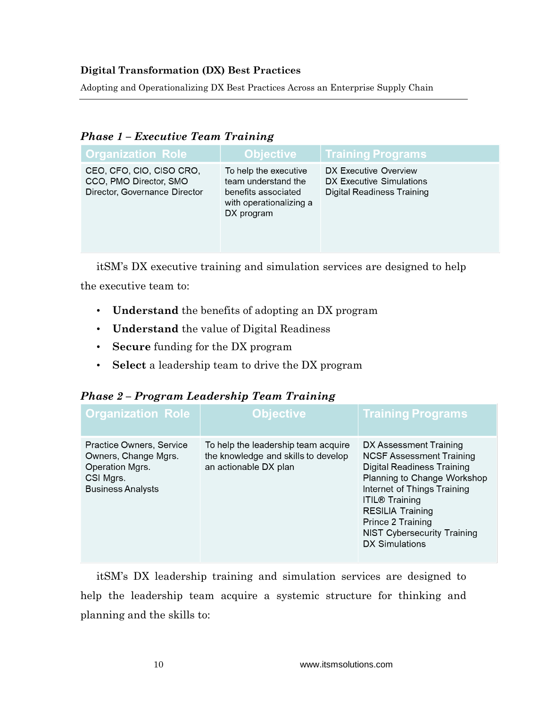Adopting and Operationalizing DX Best Practices Across an Enterprise Supply Chain

| <b>Phase 1 - Executive Team Training</b> |  |
|------------------------------------------|--|
|------------------------------------------|--|

| <b>Organization Role</b>                                                            | <b>Objective</b>                                                                                             | <b>Training Programs</b>                                                        |
|-------------------------------------------------------------------------------------|--------------------------------------------------------------------------------------------------------------|---------------------------------------------------------------------------------|
| CEO, CFO, CIO, CISO CRO,<br>CCO, PMO Director, SMO<br>Director, Governance Director | To help the executive<br>team understand the<br>benefits associated<br>with operationalizing a<br>DX program | DX Executive Overview<br>DX Executive Simulations<br>Digital Readiness Training |

itSM's DX executive training and simulation services are designed to help

the executive team to:

- **Understand** the benefits of adopting an DX program
- **Understand** the value of Digital Readiness
- **Secure** funding for the DX program
- **Select** a leadership team to drive the DX program

|  | Phase 2 - Program Leadership Team Training |  |
|--|--------------------------------------------|--|
|  |                                            |  |

| <b>Organization Role</b>                                                                                     | Objective                                                                                           | <mark>Training Programs</mark>                                                                                                                                                                                                                                                                |
|--------------------------------------------------------------------------------------------------------------|-----------------------------------------------------------------------------------------------------|-----------------------------------------------------------------------------------------------------------------------------------------------------------------------------------------------------------------------------------------------------------------------------------------------|
| Practice Owners, Service<br>Owners, Change Mgrs.<br>Operation Mgrs.<br>CSI Mgrs.<br><b>Business Analysts</b> | To help the leadership team acquire<br>the knowledge and skills to develop<br>an actionable DX plan | DX Assessment Training<br><b>NCSF Assessment Training</b><br>Digital Readiness Training<br>Planning to Change Workshop<br>Internet of Things Training<br><b>ITIL® Training</b><br><b>RESILIA Training</b><br>Prince 2 Training<br><b>NIST Cybersecurity Training</b><br><b>DX Simulations</b> |

itSM's DX leadership training and simulation services are designed to help the leadership team acquire a systemic structure for thinking and planning and the skills to: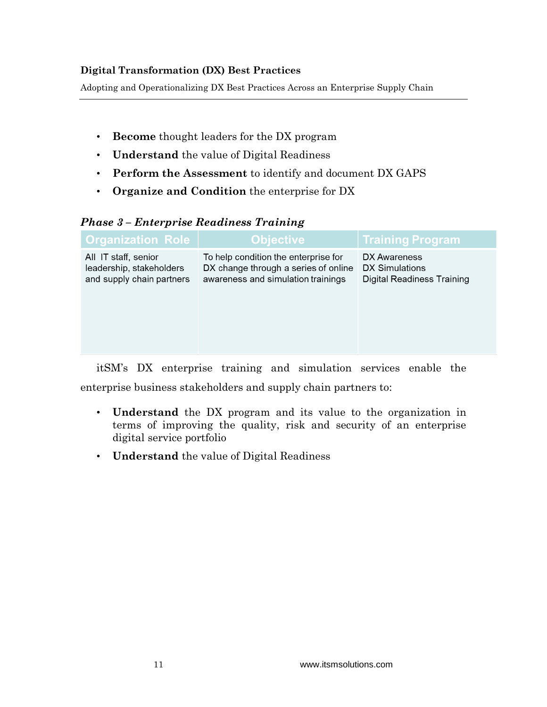Adopting and Operationalizing DX Best Practices Across an Enterprise Supply Chain

- **Become** thought leaders for the DX program
- **Understand** the value of Digital Readiness
- **Perform the Assessment** to identify and document DX GAPS
- **Organize and Condition** the enterprise for DX

## *Phase 3 – Enterprise Readiness Training*

| <b>Organization Role</b>                                                      | <b>Objective</b>                                                                                                   | <b>Training Program</b>                                      |
|-------------------------------------------------------------------------------|--------------------------------------------------------------------------------------------------------------------|--------------------------------------------------------------|
| All IT staff, senior<br>leadership, stakeholders<br>and supply chain partners | To help condition the enterprise for<br>DX change through a series of online<br>awareness and simulation trainings | DX Awareness<br>DX Simulations<br>Digital Readiness Training |
|                                                                               |                                                                                                                    |                                                              |

itSM's DX enterprise training and simulation services enable the enterprise business stakeholders and supply chain partners to:

- **Understand** the DX program and its value to the organization in terms of improving the quality, risk and security of an enterprise digital service portfolio
- **Understand** the value of Digital Readiness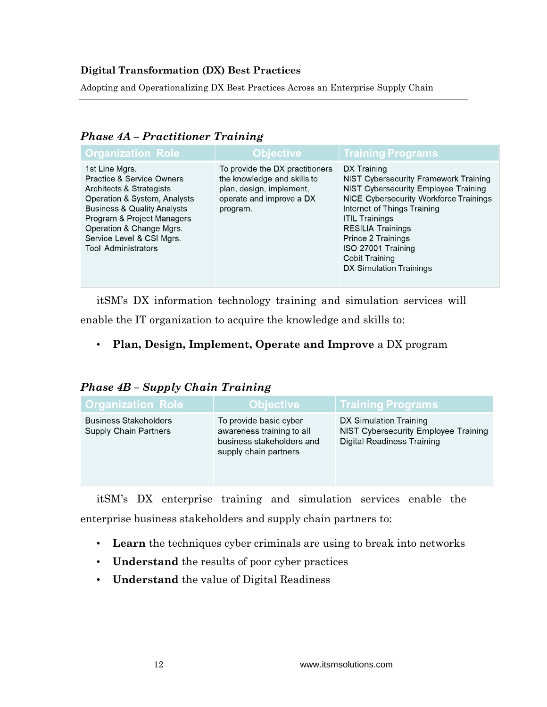Adopting and Operationalizing DX Best Practices Across an Enterprise Supply Chain

| <b>Organization Role</b>                                                                                                                                                                                                                                                          | <b>Objective</b>                                                                                                                   | <b>Training Programs</b>                                                                                                                                                                                                                                                                                                   |
|-----------------------------------------------------------------------------------------------------------------------------------------------------------------------------------------------------------------------------------------------------------------------------------|------------------------------------------------------------------------------------------------------------------------------------|----------------------------------------------------------------------------------------------------------------------------------------------------------------------------------------------------------------------------------------------------------------------------------------------------------------------------|
| 1st Line Mgrs.<br><b>Practice &amp; Service Owners</b><br>Architects & Strategists<br>Operation & System, Analysts<br><b>Business &amp; Quality Analysts</b><br>Program & Project Managers<br>Operation & Change Mgrs.<br>Service Level & CSI Mgrs.<br><b>Tool Administrators</b> | To provide the DX practitioners<br>the knowledge and skills to<br>plan, design, implement,<br>operate and improve a DX<br>program. | DX Training<br>NIST Cybersecurity Framework Training<br>NIST Cybersecurity Employee Training<br>NICE Cybersecurity Workforce Trainings<br>Internet of Things Training<br><b>ITIL Trainings</b><br><b>RESILIA Trainings</b><br>Prince 2 Trainings<br>ISO 27001 Training<br><b>Cobit Training</b><br>DX Simulation Trainings |
|                                                                                                                                                                                                                                                                                   |                                                                                                                                    |                                                                                                                                                                                                                                                                                                                            |

#### *Phase 4A – Practitioner Training*

itSM's DX information technology training and simulation services will

enable the IT organization to acquire the knowledge and skills to:

• **Plan, Design, Implement, Operate and Improve** a DX program

## *Phase 4B – Supply Chain Training*

| <b>Organization Role</b>                                     | <b>Objective</b>                                                                                          | <b>Training Programs</b>                                                                            |
|--------------------------------------------------------------|-----------------------------------------------------------------------------------------------------------|-----------------------------------------------------------------------------------------------------|
| <b>Business Stakeholders</b><br><b>Supply Chain Partners</b> | To provide basic cyber<br>awareness training to all<br>business stakeholders and<br>supply chain partners | DX Simulation Training<br>NIST Cybersecurity Employee Training<br><b>Digital Readiness Training</b> |

itSM's DX enterprise training and simulation services enable the enterprise business stakeholders and supply chain partners to:

- **Learn** the techniques cyber criminals are using to break into networks
- **Understand** the results of poor cyber practices
- **Understand** the value of Digital Readiness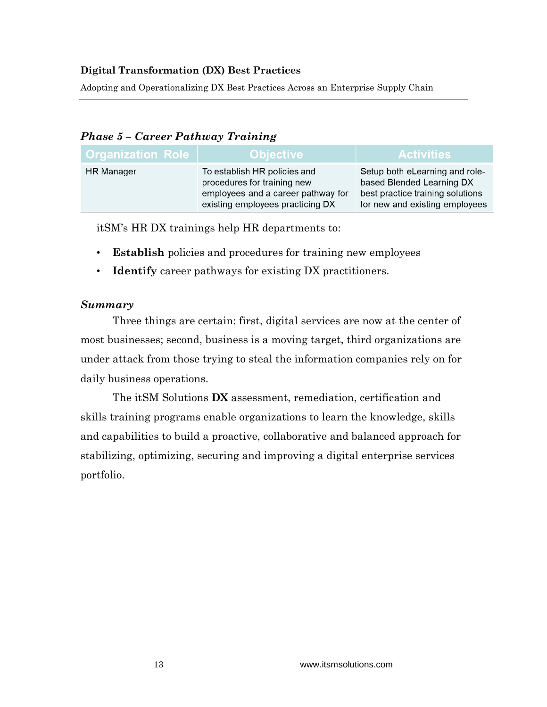Adopting and Operationalizing DX Best Practices Across an Enterprise Supply Chain

## *Phase 5 – Career Pathway Training*

| <b>Organization Role</b> | Objective                                                                                                                             | <b>Activities</b>                                                                                                                 |
|--------------------------|---------------------------------------------------------------------------------------------------------------------------------------|-----------------------------------------------------------------------------------------------------------------------------------|
| <b>HR</b> Manager        | To establish HR policies and<br>procedures for training new<br>employees and a career pathway for<br>existing employees practicing DX | Setup both eLearning and role-<br>based Blended Learning DX<br>best practice training solutions<br>for new and existing employees |

itSM's HR DX trainings help HR departments to:

- **Establish** policies and procedures for training new employees
- **Identify** career pathways for existing DX practitioners.

#### *Summary*

Three things are certain: first, digital services are now at the center of most businesses; second, business is a moving target, third organizations are under attack from those trying to steal the information companies rely on for daily business operations.

The itSM Solutions **DX** assessment, remediation, certification and skills training programs enable organizations to learn the knowledge, skills and capabilities to build a proactive, collaborative and balanced approach for stabilizing, optimizing, securing and improving a digital enterprise services portfolio.